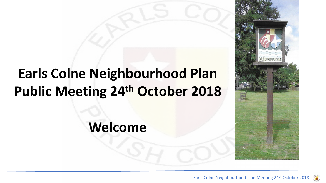### **Earls Colne Neighbourhood Plan Public Meeting 24th October 2018**

**Welcome**

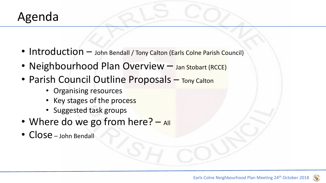#### Agenda

- Introduction John Bendall / Tony Calton (Earls Colne Parish Council)
- Neighbourhood Plan Overview Jan Stobart (RCCE)
- Parish Council Outline Proposals Tony Calton
	- Organising resources
	- Key stages of the process
	- Suggested task groups
- Where do we go from here?  $-$  All
- Close John Bendall

 $\left(\mathbf{q}\right)$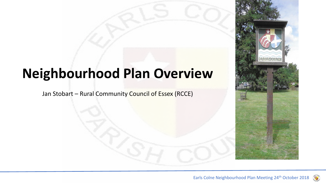### **Neighbourhood Plan Overview**

Jan Stobart – Rural Community Council of Essex (RCCE)

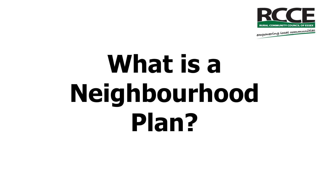

empowering local communities

# What is a **Neighbourhood Plan?**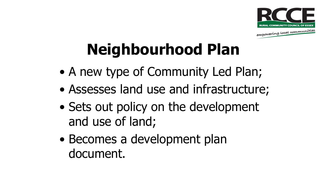

# **Neighbourhood Plan**

- A new type of Community Led Plan;
- Assesses land use and infrastructure;
- Sets out policy on the development and use of land;
- Becomes a development plan document.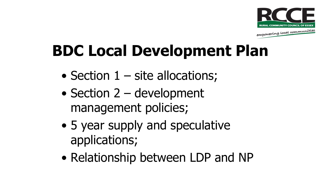

**BDC Local Development Plan**

- Section 1 site allocations;
- Section 2 development management policies;
- 5 year supply and speculative applications;
- Relationship between LDP and NP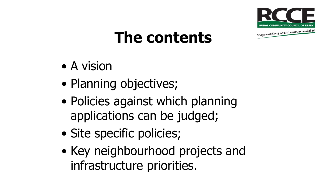

### **The contents**

- A vision
- Planning objectives;
- Policies against which planning applications can be judged;
- Site specific policies;
- Key neighbourhood projects and infrastructure priorities.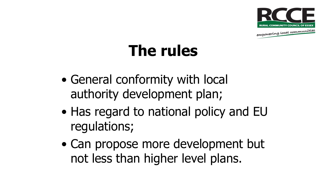

# **The rules**

- General conformity with local authority development plan;
- Has regard to national policy and EU regulations;
- Can propose more development but not less than higher level plans.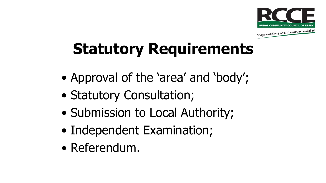

# **Statutory Requirements**

- Approval of the 'area' and 'body';
- Statutory Consultation;
- Submission to Local Authority;
- Independent Examination;
- Referendum.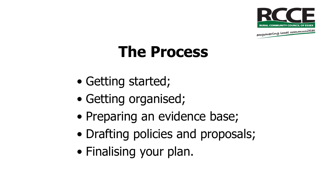

### **The Process**

- Getting started;
- Getting organised;
- Preparing an evidence base;
- Drafting policies and proposals;
- Finalising your plan.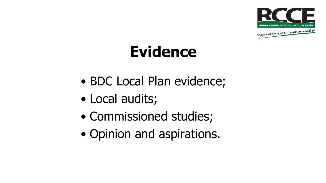

# **Evidence**

- BDC Local Plan evidence;
- Local audits;
- Commissioned studies;
- Opinion and aspirations.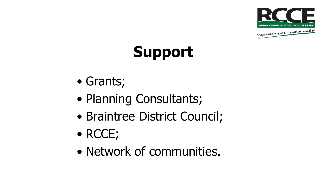



- Grants;
- Planning Consultants;
- Braintree District Council;
- RCCE;
- Network of communities.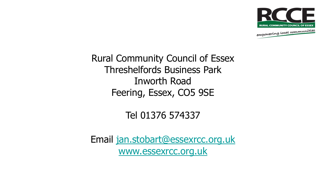

Rural Community Council of Essex Threshelfords Business Park Inworth Road Feering, Essex, CO5 9SE

#### Tel 01376 574337

Email [jan.stobart@essexrcc.org.uk](mailto:jan.stobart@essexrcc.org.uk) [www.essexrcc.org.uk](http://www.essexrcc.org.uk/)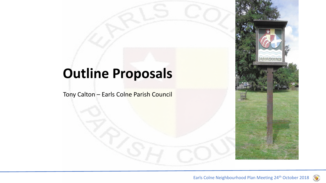### **Outline Proposals**

Tony Calton – Earls Colne Parish Council

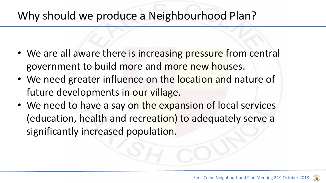#### Why should we produce a Neighbourhood Plan?

- We are all aware there is increasing pressure from central government to build more and more new houses.
- We need greater influence on the location and nature of future developments in our village.
- We need to have a say on the expansion of local services (education, health and recreation) to adequately serve a significantly increased population.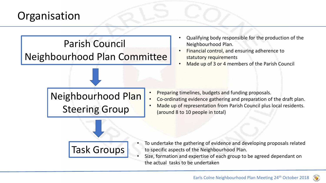#### **Organisation**



- Qualifying body responsible for the production of the Neighbourhood Plan.
- Financial control, and ensuring adherence to statutory requirements
- Made up of 3 or 4 members of the Parish Council

Neighbourhood Plan Steering Group

- Preparing timelines, budgets and funding proposals.
- Co-ordinating evidence gathering and preparation of the draft plan.
- Made up of representation from Parish Council plus local residents. (around 8 to 10 people in total)



- To undertake the gathering of evidence and developing proposals related to specific aspects of the Neighbourhood Plan.
- Size, formation and expertise of each group to be agreed dependant on the actual tasks to be undertaken

 $\left( \right)$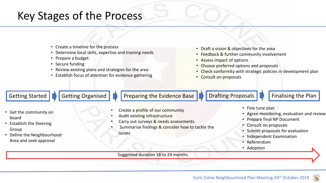#### Key Stages of the Process

- Create a timeline for the process
- Determine local skills, expertise and training needs
- Prepare a budget
- Secure funding
- Review existing plans and strategies for the area
- Establish focus of attention for evidence gathering
- Draft a vision & objectives for the area
- Feedback & further community involvement
- Assess impact of options
- Choose preferred options and proposals
- Check conformity with strategic policies in development plan
- Consult on proposals

Getting Started **Guartice Construments Construments** Preparing the Evidence Base **Construments** Proposals **Finalising the Plan** • Get the community on board • Create a profile of our community • Audit existing infrastructure • Fine tune plan • Prepare final NP Document

- Establish the Steering Group
- Define the Neighbourhood Area and seek approval
- Carry out surveys & needs assessments
- Summarise findings & consider how to tackle the issues
- Agree monitoring, evaluation and review
- Consult on proposals
- Submit proposals for evaluation
- Independent Examination
- Referendum
- Adoption

Suggested duration 18 to 24 months

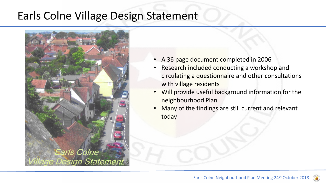#### Earls Colne Village Design Statement



- A 36 page document completed in 2006
- Research included conducting a workshop and circulating a questionnaire and other consultations with village residents
- Will provide useful background information for the neighbourhood Plan
- Many of the findings are still current and relevant today

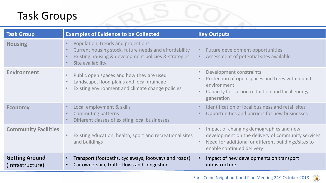#### Task Groups

| <b>Task Group</b>                         | <b>Examples of Evidence to be Collected</b>                                                                                                                              | <b>Key Outputs</b>                                                                                                                                                               |
|-------------------------------------------|--------------------------------------------------------------------------------------------------------------------------------------------------------------------------|----------------------------------------------------------------------------------------------------------------------------------------------------------------------------------|
| <b>Housing</b>                            | Population, trends and projections<br>Current housing stock, future needs and affordability<br>Existing housing & development policies & strategies<br>Site availability | Future development opportunities<br>Assessment of potential sites available                                                                                                      |
| <b>Environment</b>                        | Public open spaces and how they are used<br>Landscape, flood plains and local drainage<br>Existing environment and climate change policies                               | Development constraints<br>Protection of open spaces and trees within built<br>environment<br>Capacity for carbon reduction and local energy<br>generation                       |
| <b>Economy</b>                            | Local employment & skills<br><b>Commuting patterns</b><br>Different classes of existing local businesses                                                                 | Identification of local business and retail sites<br>Opportunities and barriers for new businesses                                                                               |
| <b>Community Facilities</b>               | Existing education, health, sport and recreational sites<br>and buildings                                                                                                | Impact of changing demographics and new<br>development on the delivery of community services<br>Need for additional or different buildings/sites to<br>enable continued delivery |
| <b>Getting Around</b><br>(Infrastructure) | Transport (footpaths, cycleways, footways and roads)<br>Car ownership, traffic flows and congestion                                                                      | Impact of new developments on transport<br>infrastructure                                                                                                                        |

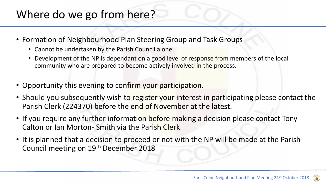#### Where do we go from here?

- Formation of Neighbourhood Plan Steering Group and Task Groups
	- Cannot be undertaken by the Parish Council alone.
	- Development of the NP is dependant on a good level of response from members of the local community who are prepared to become actively involved in the process.
- Opportunity this evening to confirm your participation.
- Should you subsequently wish to register your interest in participating please contact the Parish Clerk (224370) before the end of November at the latest.
- If you require any further information before making a decision please contact Tony Calton or Ian Morton- Smith via the Parish Clerk
- It is planned that a decision to proceed or not with the NP will be made at the Parish Council meeting on 19th December 2018